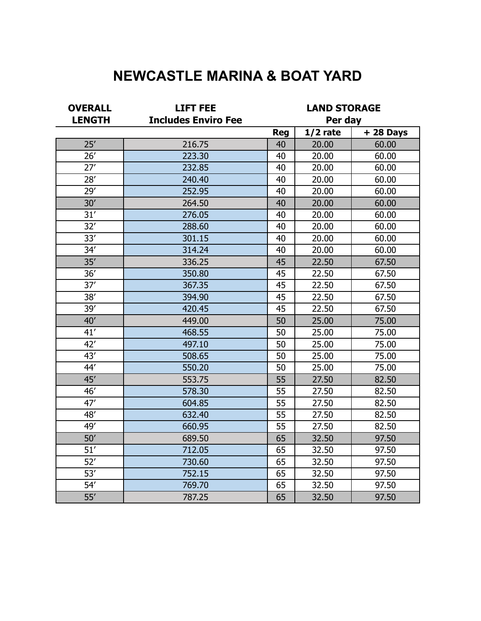# **NEWCASTLE MARINA & BOAT YARD**

| <b>OVERALL</b>   | <b>LIFT FEE</b>            | <b>LAND STORAGE</b> |            |            |
|------------------|----------------------------|---------------------|------------|------------|
| <b>LENGTH</b>    | <b>Includes Enviro Fee</b> | Per day             |            |            |
|                  |                            | <b>Reg</b>          | $1/2$ rate | $+28$ Days |
| 25'              | 216.75                     | 40                  | 20.00      | 60.00      |
| 26'              | 223.30                     | 40                  | 20.00      | 60.00      |
| 27'              | 232.85                     | 40                  | 20.00      | 60.00      |
| 28'              | 240.40                     | 40                  | 20.00      | 60.00      |
| 29'              | 252.95                     | 40                  | 20.00      | 60.00      |
| 30'              | 264.50                     | 40                  | 20.00      | 60.00      |
| 31 <sup>7</sup>  | 276.05                     | 40                  | 20.00      | 60.00      |
| 32'              | 288.60                     | 40                  | 20.00      | 60.00      |
| 33'              | 301.15                     | 40                  | 20.00      | 60.00      |
| 34'              | 314.24                     | 40                  | 20.00      | 60.00      |
| 35'              | 336.25                     | 45                  | 22.50      | 67.50      |
| 36'              | 350.80                     | 45                  | 22.50      | 67.50      |
| 37'              | 367.35                     | 45                  | 22.50      | 67.50      |
| 38'              | 394.90                     | 45                  | 22.50      | 67.50      |
| 39'              | 420.45                     | 45                  | 22.50      | 67.50      |
| 40'              | 449.00                     | 50                  | 25.00      | 75.00      |
| 41'              | 468.55                     | 50                  | 25.00      | 75.00      |
| 42'              | 497.10                     | 50                  | 25.00      | 75.00      |
| 43'              | 508.65                     | 50                  | 25.00      | 75.00      |
| 44'              | 550.20                     | 50                  | 25.00      | 75.00      |
| 45'              | 553.75                     | 55                  | 27.50      | 82.50      |
| 46'              | 578.30                     | 55                  | 27.50      | 82.50      |
| 47'              | 604.85                     | 55                  | 27.50      | 82.50      |
| 48'              | 632.40                     | 55                  | 27.50      | 82.50      |
| 49'              | 660.95                     | 55                  | 27.50      | 82.50      |
| 50'              | 689.50                     | 65                  | 32.50      | 97.50      |
| 51'              | 712.05                     | 65                  | 32.50      | 97.50      |
| 52'              | 730.60                     | 65                  | 32.50      | 97.50      |
| 53'              | 752.15                     | 65                  | 32.50      | 97.50      |
| 54'              | 769.70                     | 65                  | 32.50      | 97.50      |
| $\overline{55'}$ | 787.25                     | 65                  | 32.50      | 97.50      |